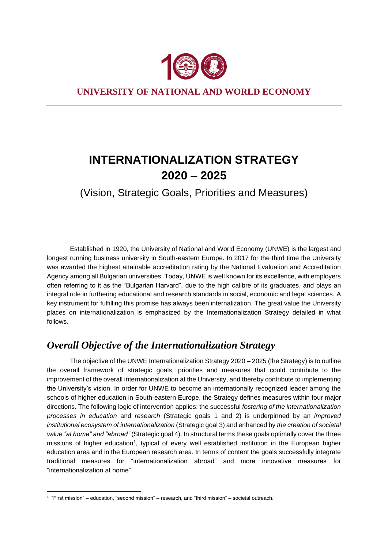

**UNIVERSITY OF NATIONAL AND WORLD ECONOMY**

# **INTERNATIONALIZATION STRATEGY 2020 – 2025**

(Vision, Strategic Goals, Priorities and Measures)

Established in 1920, the University of National and World Economy (UNWE) is the largest and longest running business university in South-eastern Europe. In 2017 for the third time the University was awarded the highest attainable accreditation rating by the National Evaluation and Accreditation Agency among all Bulgarian universities. Today, UNWE is well known for its excellence, with employers often referring to it as the "Bulgarian Harvard", due to the high calibre of its graduates, and plays an integral role in furthering educational and research standards in social, economic and legal sciences. A key instrument for fulfilling this promise has always been internalization. The great value the University places on internationalization is emphasized by the Internationalization Strategy detailed in what follows.

# *Overall Objective of the Internationalization Strategy*

The objective of the UNWE Internationalization Strategy 2020 – 2025 (the Strategy) is to outline the overall framework of strategic goals, priorities and measures that could contribute to the improvement of the overall internationalization at the University, and thereby contribute to implementing the University's vision. In order for UNWE to become an internationally recognized leader among the schools of higher education in South-eastern Europe, the Strategy defines measures within four major directions. The following logic of intervention applies: the successful *fostering of the internationalization processes in education* and *research* (Strategic goals 1 and 2) is underpinned by an *improved institutional ecosystem of internationalization* (Strategic goal 3) and enhanced by *the creation of societal value "at home" and "abroad"* (Strategic goal 4). In structural terms these goals optimally cover the three missions of higher education<sup>1</sup>, typical of every well established institution in the European higher education area and in the European research area. In terms of content the goals successfully integrate traditional measures for "internationalization abroad" and more innovative measures for "internationalization at home".

<sup>1</sup> "First mission" – education, "second mission" – research, and "third mission" – societal outreach.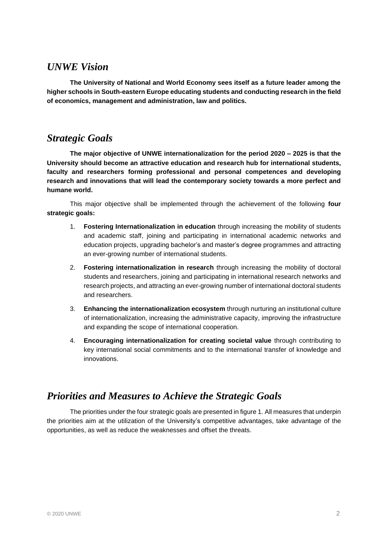# *UNWE Vision*

**The University of National and World Economy sees itself as a future leader among the higher schools in South-eastern Europe educating students and conducting research in the field of economics, management and administration, law and politics.** 

# *Strategic Goals*

**The major objective of UNWE internationalization for the period 2020 – 2025 is that the University should become an attractive education and research hub for international students, faculty and researchers forming professional and personal competences and developing research and innovations that will lead the contemporary society towards a more perfect and humane world.**

This major objective shall be implemented through the achievement of the following **four strategic goals:**

- 1. **Fostering Internationalization in education** through increasing the mobility of students and academic staff, joining and participating in international academic networks and education projects, upgrading bachelor's and master's degree programmes and attracting an ever-growing number of international students.
- 2. **Fostering internationalization in research** through increasing the mobility of doctoral students and researchers, joining and participating in international research networks and research projects, and attracting an ever-growing number of international doctoral students and researchers.
- 3. **Enhancing the internationalization ecosystem** through nurturing an institutional culture of internationalization, increasing the administrative capacity, improving the infrastructure and expanding the scope of international cooperation.
- 4. **Encouraging internationalization for creating societal value** through contributing to key international social commitments and to the international transfer of knowledge and innovations.

# *Priorities and Measures to Achieve the Strategic Goals*

The priorities under the four strategic goals are presented in figure 1. All measures that underpin the priorities aim at the utilization of the University's competitive advantages, take advantage of the opportunities, as well as reduce the weaknesses and offset the threats.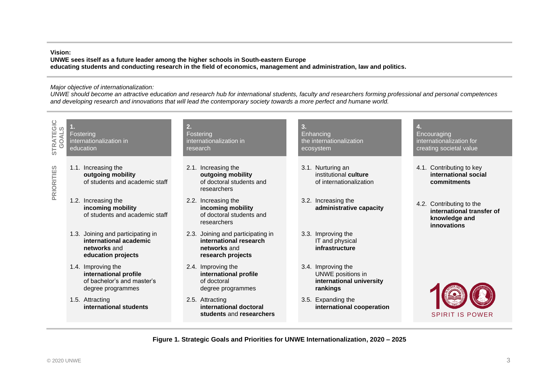#### **Vision:**

**UNWE sees itself as a future leader among the higher schools in South-eastern Europe educating students and conducting research in the field of economics, management and administration, law and politics.**

#### *Major objective of internationalization:*

*UNWE should become an attractive education and research hub for international students, faculty and researchers forming professional and personal competences and developing research and innovations that will lead the contemporary society towards a more perfect and humane world.*

| STRATEGIC<br>GOALS | 1.<br>Fostering<br>internationalization in<br>education |                                                                                                   | 2.<br>Fostering<br>internationalization in<br>research |                                                                                                  | 3.<br>Enhancing<br>the internationalization<br>ecosystem                        |  | 4.<br>Encouraging<br>internationalization for<br>creating societal value              |  |
|--------------------|---------------------------------------------------------|---------------------------------------------------------------------------------------------------|--------------------------------------------------------|--------------------------------------------------------------------------------------------------|---------------------------------------------------------------------------------|--|---------------------------------------------------------------------------------------|--|
| <b>PRIORITIES</b>  |                                                         | 1.1. Increasing the<br>outgoing mobility<br>of students and academic staff                        |                                                        | 2.1. Increasing the<br>outgoing mobility<br>of doctoral students and<br>researchers              | 3.1. Nurturing an<br>institutional culture<br>of internationalization           |  | 4.1. Contributing to key<br>international social<br>commitments                       |  |
|                    |                                                         | 1.2. Increasing the<br>incoming mobility<br>of students and academic staff                        |                                                        | 2.2. Increasing the<br>incoming mobility<br>of doctoral students and<br>researchers              | 3.2. Increasing the<br>administrative capacity                                  |  | 4.2. Contributing to the<br>international transfer of<br>knowledge and<br>innovations |  |
|                    |                                                         | 1.3. Joining and participating in<br>international academic<br>networks and<br>education projects |                                                        | 2.3. Joining and participating in<br>international research<br>networks and<br>research projects | 3.3. Improving the<br>IT and physical<br>infrastructure                         |  |                                                                                       |  |
|                    |                                                         | 1.4. Improving the<br>international profile<br>of bachelor's and master's<br>degree programmes    |                                                        | 2.4. Improving the<br>international profile<br>of doctoral<br>degree programmes                  | 3.4. Improving the<br>UNWE positions in<br>international university<br>rankings |  |                                                                                       |  |
|                    |                                                         | 1.5. Attracting<br>international students                                                         |                                                        | 2.5. Attracting<br>international doctoral<br>students and researchers                            | 3.5. Expanding the<br>international cooperation                                 |  | <b>SPIRIT IS POWER</b>                                                                |  |

**Figure 1. Strategic Goals and Priorities for UNWE Internationalization, 2020 – 2025**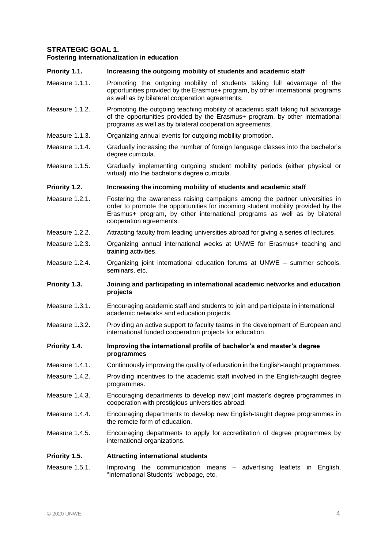# **STRATEGIC GOAL 1.**

#### **Fostering internationalization in education**

#### **Priority 1.1. Increasing the outgoing mobility of students and academic staff**

- Measure 1.1.1. Promoting the outgoing mobility of students taking full advantage of the opportunities provided by the Erasmus+ program, by other international programs as well as by bilateral cooperation agreements.
- Measure 1.1.2. Promoting the outgoing teaching mobility of academic staff taking full advantage of the opportunities provided by the Erasmus+ program, by other international programs as well as by bilateral cooperation agreements.
- Measure 1.1.3. Organizing annual events for outgoing mobility promotion.
- Measure 1.1.4. Gradually increasing the number of foreign language classes into the bachelor's degree curricula.
- Measure 1.1.5. Gradually implementing outgoing student mobility periods (either physical or virtual) into the bachelor's degree curricula.

#### **Priority 1.2. Increasing the incoming mobility of students and academic staff**

- Measure 1.2.1. Fostering the awareness raising campaigns among the partner universities in order to promote the opportunities for incoming student mobility provided by the Erasmus+ program, by other international programs as well as by bilateral cooperation agreements.
- Measure 1.2.2. Attracting faculty from leading universities abroad for giving a series of lectures.
- Measure 1.2.3. Organizing annual international weeks at UNWE for Erasmus+ teaching and training activities.
- Measure 1.2.4. Organizing joint international education forums at UNWE summer schools, seminars, etc.
- **Priority 1.3. Joining and participating in international academic networks and education projects**
- Measure 1.3.1. Encouraging academic staff and students to join and participate in international academic networks and education projects.
- Measure 1.3.2. Providing an active support to faculty teams in the development of European and international funded cooperation projects for education.
- **Priority 1.4. Improving the international profile of bachelor's and master's degree programmes**
- Measure 1.4.1. Continuously improving the quality of education in the English-taught programmes.
- Measure 1.4.2. Providing incentives to the academic staff involved in the English-taught degree programmes.
- Measure 1.4.3. Encouraging departments to develop new joint master's degree programmes in cooperation with prestigious universities abroad.
- Measure 1.4.4. Encouraging departments to develop new English-taught degree programmes in the remote form of education.
- Measure 1.4.5. Encouraging departments to apply for accreditation of degree programmes by international organizations.

#### **Priority 1.5. Attracting international students**

Measure 1.5.1. Improving the communication means – advertising leaflets in English, "International Students" webpage, etc.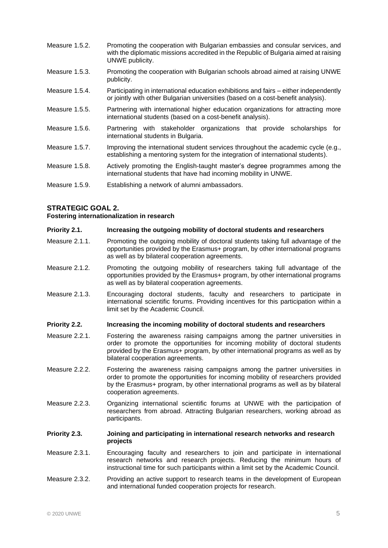- Measure 1.5.2. Promoting the cooperation with Bulgarian embassies and consular services, and with the diplomatic missions accredited in the Republic of Bulgaria aimed at raising UNWE publicity.
- Measure 1.5.3. Promoting the cooperation with Bulgarian schools abroad aimed at raising UNWE publicity.
- Measure 1.5.4. Participating in international education exhibitions and fairs either independently or jointly with other Bulgarian universities (based on a cost-benefit analysis).
- Measure 1.5.5. Partnering with international higher education organizations for attracting more international students (based on a cost-benefit analysis).
- Measure 1.5.6. Partnering with stakeholder organizations that provide scholarships for international students in Bulgaria.
- Measure 1.5.7. Improving the international student services throughout the academic cycle (e.g., establishing a mentoring system for the integration of international students).
- Measure 1.5.8. Actively promoting the English-taught master's degree programmes among the international students that have had incoming mobility in UNWE.
- Measure 1.5.9. Establishing a network of alumni ambassadors.

### **STRATEGIC GOAL 2.**

**Fostering internationalization in research**

#### **Priority 2.1. Increasing the outgoing mobility of doctoral students and researchers**

- Measure 2.1.1. Promoting the outgoing mobility of doctoral students taking full advantage of the opportunities provided by the Erasmus+ program, by other international programs as well as by bilateral cooperation agreements.
- Measure 2.1.2. Promoting the outgoing mobility of researchers taking full advantage of the opportunities provided by the Erasmus+ program, by other international programs as well as by bilateral cooperation agreements.
- Measure 2.1.3. Encouraging doctoral students, faculty and researchers to participate in international scientific forums. Providing incentives for this participation within a limit set by the Academic Council.

#### **Priority 2.2. Increasing the incoming mobility of doctoral students and researchers**

- Measure 2.2.1. Fostering the awareness raising campaigns among the partner universities in order to promote the opportunities for incoming mobility of doctoral students provided by the Erasmus+ program, by other international programs as well as by bilateral cooperation agreements.
- Measure 2.2.2. Fostering the awareness raising campaigns among the partner universities in order to promote the opportunities for incoming mobility of researchers provided by the Erasmus+ program, by other international programs as well as by bilateral cooperation agreements.
- Measure 2.2.3. Organizing international scientific forums at UNWE with the participation of researchers from abroad. Attracting Bulgarian researchers, working abroad as participants.

#### **Priority 2.3. Joining and participating in international research networks and research projects**

- Measure 2.3.1. Encouraging faculty and researchers to join and participate in international research networks and research projects. Reducing the minimum hours of instructional time for such participants within a limit set by the Academic Council.
- Measure 2.3.2. Providing an active support to research teams in the development of European and international funded cooperation projects for research.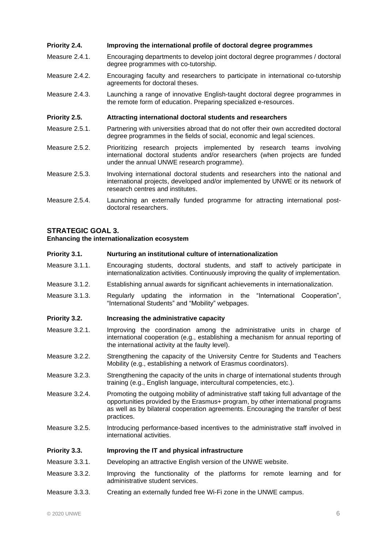# **Priority 2.4. Improving the international profile of doctoral degree programmes**

- Measure 2.4.1. Encouraging departments to develop joint doctoral degree programmes / doctoral degree programmes with co-tutorship.
- Measure 2.4.2. Encouraging faculty and researchers to participate in international co-tutorship agreements for doctoral theses.
- Measure 2.4.3. Launching a range of innovative English-taught doctoral degree programmes in the remote form of education. Preparing specialized e-resources.

### **Priority 2.5. Attracting international doctoral students and researchers**

- Measure 2.5.1. Partnering with universities abroad that do not offer their own accredited doctoral degree programmes in the fields of social, economic and legal sciences.
- Measure 2.5.2. Prioritizing research projects implemented by research teams involving international doctoral students and/or researchers (when projects are funded under the annual UNWE research programme).
- Measure 2.5.3. Involving international doctoral students and researchers into the national and international projects, developed and/or implemented by UNWE or its network of research centres and institutes.
- Measure 2.5.4. Launching an externally funded programme for attracting international postdoctoral researchers.

# **STRATEGIC GOAL 3.**

**Enhancing the internationalization ecosystem**

#### **Priority 3.1. Nurturing an institutional culture of internationalization**

- Measure 3.1.1. Encouraging students, doctoral students, and staff to actively participate in internationalization activities. Continuously improving the quality of implementation.
- Measure 3.1.2. Establishing annual awards for significant achievements in internationalization.
- Measure 3.1.3. Regularly updating the information in the "International Cooperation", "International Students" and "Mobility" webpages.

#### **Priority 3.2. Increasing the administrative capacity**

- Measure 3.2.1. Improving the coordination among the administrative units in charge of international cooperation (e.g., establishing a mechanism for annual reporting of the international activity at the faulty level).
- Measure 3.2.2. Strengthening the capacity of the University Centre for Students and Teachers Mobility (e.g., establishing a network of Erasmus coordinators).
- Measure 3.2.3. Strengthening the capacity of the units in charge of international students through training (e.g., English language, intercultural competencies, etc.).
- Measure 3.2.4. Promoting the outgoing mobility of administrative staff taking full advantage of the opportunities provided by the Erasmus+ program, by other international programs as well as by bilateral cooperation agreements. Encouraging the transfer of best practices.
- Measure 3.2.5. Introducing performance-based incentives to the administrative staff involved in international activities.

#### **Priority 3.3. Improving the IT and physical infrastructure**

- Measure 3.3.1. Developing an attractive English version of the UNWE website.
- Measure 3.3.2. Improving the functionality of the platforms for remote learning and for administrative student services.
- Measure 3.3.3. Creating an externally funded free Wi-Fi zone in the UNWE campus.